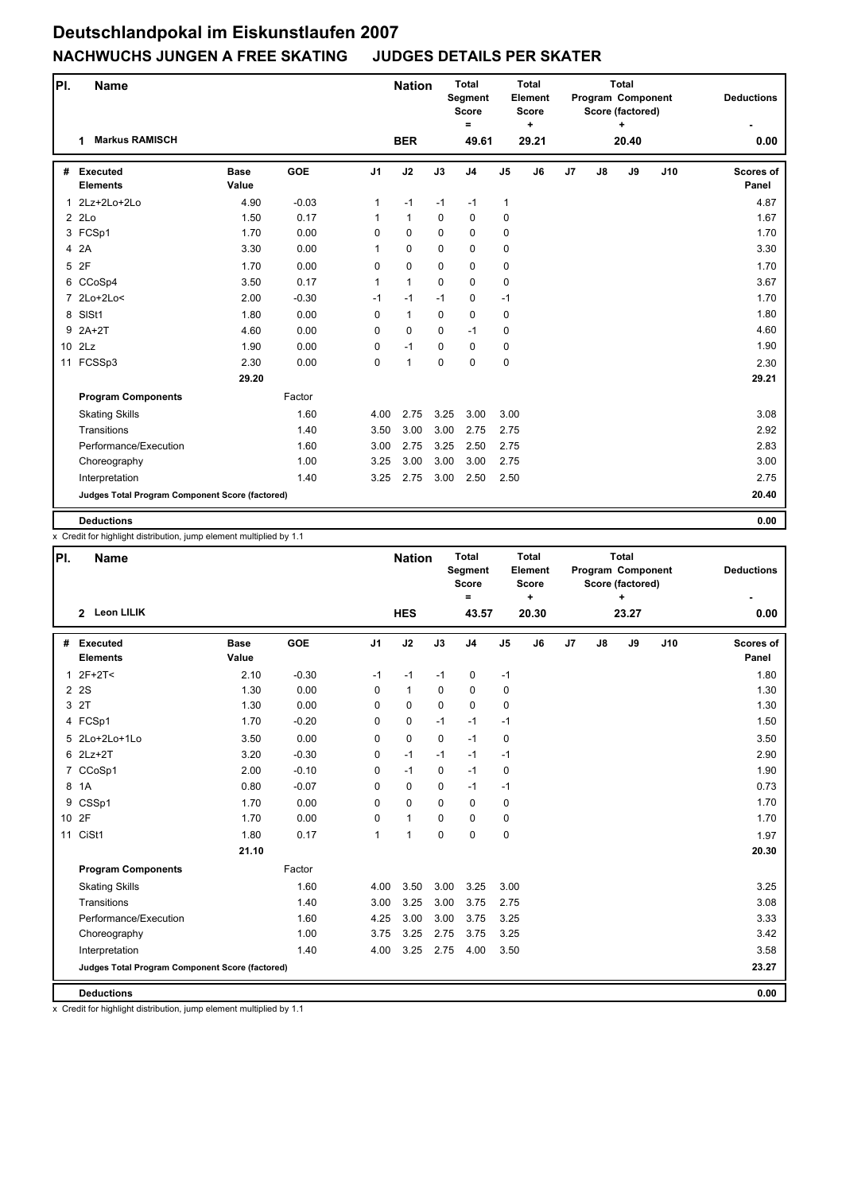| PI.             | <b>Name</b>                                     |                      |            |                | <b>Nation</b> |             | <b>Total</b><br>Segment<br><b>Score</b><br>$=$ |                | <b>Total</b><br>Element<br><b>Score</b><br>$\ddot{}$ |    |    | <b>Total</b><br>Program Component<br>Score (factored)<br>٠ | <b>Deductions</b> |                           |
|-----------------|-------------------------------------------------|----------------------|------------|----------------|---------------|-------------|------------------------------------------------|----------------|------------------------------------------------------|----|----|------------------------------------------------------------|-------------------|---------------------------|
|                 | <b>Markus RAMISCH</b><br>1                      |                      |            |                | <b>BER</b>    |             | 49.61                                          |                | 29.21                                                |    |    | 20.40                                                      |                   | 0.00                      |
|                 | # Executed<br><b>Elements</b>                   | <b>Base</b><br>Value | <b>GOE</b> | J <sub>1</sub> | J2            | J3          | J <sub>4</sub>                                 | J <sub>5</sub> | J6                                                   | J7 | J8 | J9                                                         | J10               | <b>Scores of</b><br>Panel |
| 1               | 2Lz+2Lo+2Lo                                     | 4.90                 | $-0.03$    | 1              | $-1$          | $-1$        | $-1$                                           | $\mathbf{1}$   |                                                      |    |    |                                                            |                   | 4.87                      |
|                 | $2$ $2Lo$                                       | 1.50                 | 0.17       | 1              | $\mathbf{1}$  | 0           | 0                                              | 0              |                                                      |    |    |                                                            |                   | 1.67                      |
|                 | 3 FCSp1                                         | 1.70                 | 0.00       | $\Omega$       | $\Omega$      | $\Omega$    | $\mathbf 0$                                    | $\mathbf 0$    |                                                      |    |    |                                                            |                   | 1.70                      |
|                 | 4 2A                                            | 3.30                 | 0.00       | $\mathbf{1}$   | $\mathbf 0$   | $\mathbf 0$ | $\mathbf 0$                                    | 0              |                                                      |    |    |                                                            |                   | 3.30                      |
| 5               | 2F                                              | 1.70                 | 0.00       | $\mathbf 0$    | $\mathbf 0$   | $\mathbf 0$ | $\mathbf 0$                                    | 0              |                                                      |    |    |                                                            |                   | 1.70                      |
|                 | 6 CCoSp4                                        | 3.50                 | 0.17       | $\mathbf{1}$   | $\mathbf{1}$  | $\Omega$    | $\mathbf 0$                                    | 0              |                                                      |    |    |                                                            |                   | 3.67                      |
|                 | 7 2Lo+2Lo<                                      | 2.00                 | $-0.30$    | $-1$           | $-1$          | $-1$        | $\mathbf 0$                                    | $-1$           |                                                      |    |    |                                                            |                   | 1.70                      |
| 8               | SISt1                                           | 1.80                 | 0.00       | $\mathbf 0$    | $\mathbf{1}$  | $\mathbf 0$ | $\mathbf 0$                                    | 0              |                                                      |    |    |                                                            |                   | 1.80                      |
| 9               | $2A+2T$                                         | 4.60                 | 0.00       | $\mathbf 0$    | $\mathbf 0$   | $\Omega$    | $-1$                                           | 0              |                                                      |    |    |                                                            |                   | 4.60                      |
| 10 <sup>°</sup> | 2Lz                                             | 1.90                 | 0.00       | 0              | $-1$          | $\Omega$    | $\mathbf 0$                                    | 0              |                                                      |    |    |                                                            |                   | 1.90                      |
| 11              | FCSSp3                                          | 2.30                 | 0.00       | 0              | $\mathbf{1}$  | $\mathbf 0$ | $\mathbf 0$                                    | $\pmb{0}$      |                                                      |    |    |                                                            |                   | 2.30                      |
|                 |                                                 | 29.20                |            |                |               |             |                                                |                |                                                      |    |    |                                                            |                   | 29.21                     |
|                 | <b>Program Components</b>                       |                      | Factor     |                |               |             |                                                |                |                                                      |    |    |                                                            |                   |                           |
|                 | <b>Skating Skills</b>                           |                      | 1.60       | 4.00           | 2.75          | 3.25        | 3.00                                           | 3.00           |                                                      |    |    |                                                            |                   | 3.08                      |
|                 | Transitions                                     |                      | 1.40       | 3.50           | 3.00          | 3.00        | 2.75                                           | 2.75           |                                                      |    |    |                                                            |                   | 2.92                      |
|                 | Performance/Execution                           |                      | 1.60       | 3.00           | 2.75          | 3.25        | 2.50                                           | 2.75           |                                                      |    |    |                                                            |                   | 2.83                      |
|                 | Choreography                                    |                      | 1.00       | 3.25           | 3.00          | 3.00        | 3.00                                           | 2.75           |                                                      |    |    |                                                            |                   | 3.00                      |
|                 | Interpretation                                  |                      | 1.40       | 3.25           | 2.75          | 3.00        | 2.50                                           | 2.50           |                                                      |    |    |                                                            |                   | 2.75                      |
|                 | Judges Total Program Component Score (factored) |                      |            |                |               |             |                                                |                |                                                      |    |    |                                                            |                   | 20.40                     |
|                 | <b>Deductions</b>                               |                      |            |                |               |             |                                                |                |                                                      |    |    |                                                            |                   | 0.00                      |

x Credit for highlight distribution, jump element multiplied by 1.1

| PI. | <b>Name</b>                                     |                      |            |                | <b>Nation</b>  |             | <b>Total</b><br>Segment<br><b>Score</b><br>$\equiv$ |                | <b>Total</b><br>Element<br><b>Score</b><br>÷ |                |    | <b>Total</b><br>Program Component<br>Score (factored)<br>÷ | <b>Deductions</b> |                           |
|-----|-------------------------------------------------|----------------------|------------|----------------|----------------|-------------|-----------------------------------------------------|----------------|----------------------------------------------|----------------|----|------------------------------------------------------------|-------------------|---------------------------|
|     | 2 Leon LILIK                                    |                      |            |                | <b>HES</b>     |             | 43.57                                               |                | 20.30                                        |                |    | 23.27                                                      |                   | 0.00                      |
| #   | Executed<br><b>Elements</b>                     | <b>Base</b><br>Value | <b>GOE</b> | J <sub>1</sub> | J2             | J3          | J <sub>4</sub>                                      | J <sub>5</sub> | J6                                           | J <sub>7</sub> | J8 | J9                                                         | J10               | <b>Scores of</b><br>Panel |
|     | $12F+2T<$                                       | 2.10                 | $-0.30$    | $-1$           | $-1$           | $-1$        | 0                                                   | $-1$           |                                              |                |    |                                                            |                   | 1.80                      |
|     | 2 2 S                                           | 1.30                 | 0.00       | $\mathbf 0$    | $\mathbf{1}$   | $\mathbf 0$ | 0                                                   | 0              |                                              |                |    |                                                            |                   | 1.30                      |
|     | 3 2T                                            | 1.30                 | 0.00       | 0              | 0              | $\mathbf 0$ | 0                                                   | 0              |                                              |                |    |                                                            |                   | 1.30                      |
|     | 4 FCSp1                                         | 1.70                 | $-0.20$    | 0              | 0              | $-1$        | $-1$                                                | $-1$           |                                              |                |    |                                                            |                   | 1.50                      |
|     | 5 2Lo+2Lo+1Lo                                   | 3.50                 | 0.00       | $\mathbf 0$    | 0              | $\Omega$    | $-1$                                                | 0              |                                              |                |    |                                                            |                   | 3.50                      |
|     | 6 2Lz+2T                                        | 3.20                 | $-0.30$    | $\mathbf 0$    | $-1$           | $-1$        | $-1$                                                | $-1$           |                                              |                |    |                                                            |                   | 2.90                      |
|     | 7 CCoSp1                                        | 2.00                 | $-0.10$    | $\mathbf 0$    | $-1$           | $\Omega$    | $-1$                                                | 0              |                                              |                |    |                                                            |                   | 1.90                      |
| 8   | 1A                                              | 0.80                 | $-0.07$    | $\mathbf 0$    | 0              | $\Omega$    | $-1$                                                | $-1$           |                                              |                |    |                                                            |                   | 0.73                      |
|     | 9 CSSp1                                         | 1.70                 | 0.00       | $\Omega$       | 0              | $\mathbf 0$ | 0                                                   | 0              |                                              |                |    |                                                            |                   | 1.70                      |
|     | 10 2F                                           | 1.70                 | 0.00       | 0              | $\mathbf{1}$   | $\Omega$    | 0                                                   | 0              |                                              |                |    |                                                            |                   | 1.70                      |
| 11  | CiSt1                                           | 1.80                 | 0.17       | $\mathbf{1}$   | $\overline{1}$ | $\mathbf 0$ | $\mathbf 0$                                         | 0              |                                              |                |    |                                                            |                   | 1.97                      |
|     |                                                 | 21.10                |            |                |                |             |                                                     |                |                                              |                |    |                                                            |                   | 20.30                     |
|     | <b>Program Components</b>                       |                      | Factor     |                |                |             |                                                     |                |                                              |                |    |                                                            |                   |                           |
|     | <b>Skating Skills</b>                           |                      | 1.60       | 4.00           | 3.50           | 3.00        | 3.25                                                | 3.00           |                                              |                |    |                                                            |                   | 3.25                      |
|     | Transitions                                     |                      | 1.40       | 3.00           | 3.25           | 3.00        | 3.75                                                | 2.75           |                                              |                |    |                                                            |                   | 3.08                      |
|     | Performance/Execution                           |                      | 1.60       | 4.25           | 3.00           | 3.00        | 3.75                                                | 3.25           |                                              |                |    |                                                            |                   | 3.33                      |
|     | Choreography                                    |                      | 1.00       | 3.75           | 3.25           | 2.75        | 3.75                                                | 3.25           |                                              |                |    |                                                            |                   | 3.42                      |
|     | Interpretation                                  |                      | 1.40       | 4.00           | 3.25           | 2.75        | 4.00                                                | 3.50           |                                              |                |    |                                                            |                   | 3.58                      |
|     | Judges Total Program Component Score (factored) |                      |            |                |                |             |                                                     |                |                                              |                |    |                                                            |                   | 23.27                     |
|     | <b>Deductions</b>                               |                      |            |                |                |             |                                                     |                |                                              |                |    |                                                            |                   | 0.00                      |

x Credit for highlight distribution, jump element multiplied by 1.1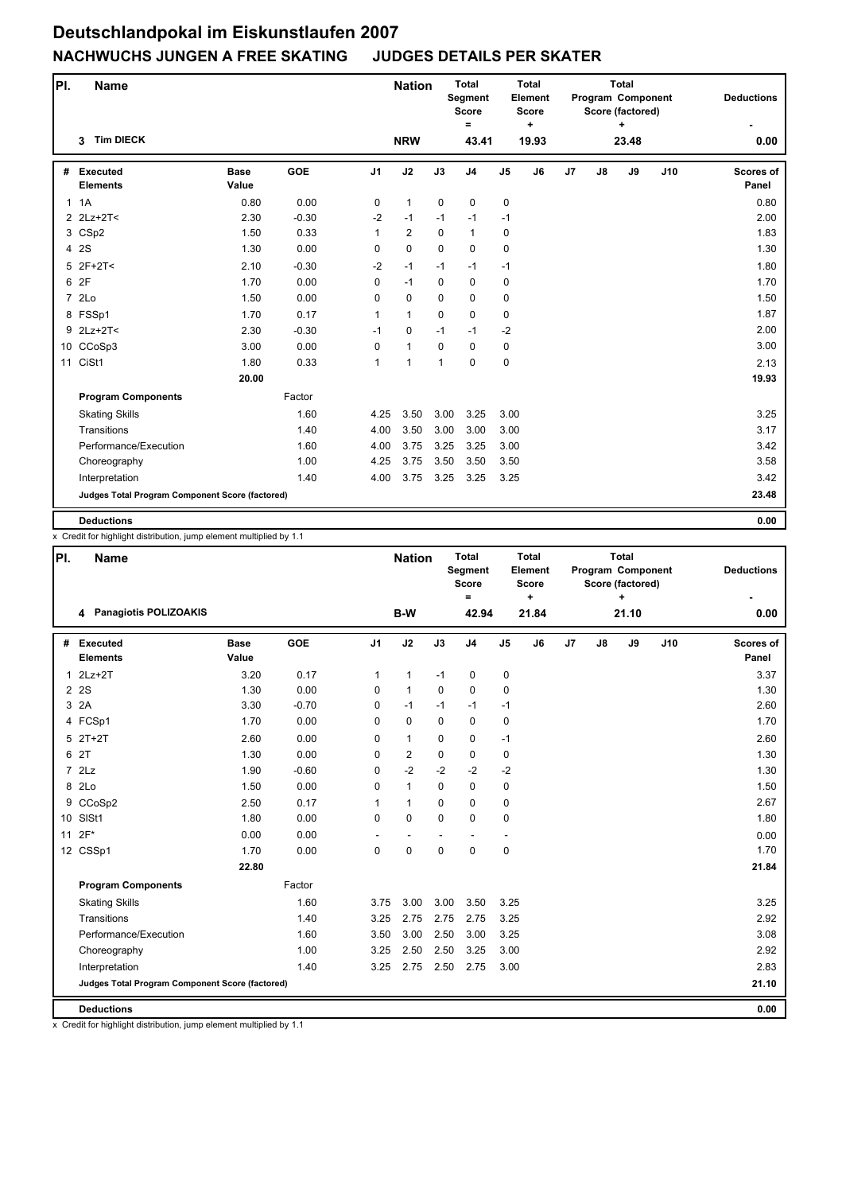| PI. | <b>Name</b>                                     |                      |            |                | <b>Nation</b>  |              | <b>Total</b><br>Segment<br><b>Score</b><br>$\equiv$ | <b>Total</b><br>Element<br><b>Score</b><br>$\ddot{}$<br>19.93 |    |    |    | <b>Total</b><br>Program Component<br>Score (factored)<br>÷ |     | <b>Deductions</b>         |
|-----|-------------------------------------------------|----------------------|------------|----------------|----------------|--------------|-----------------------------------------------------|---------------------------------------------------------------|----|----|----|------------------------------------------------------------|-----|---------------------------|
|     | <b>Tim DIECK</b><br>3                           |                      |            |                | <b>NRW</b>     |              | 43.41                                               |                                                               |    |    |    | 23.48                                                      |     | 0.00                      |
|     | # Executed<br><b>Elements</b>                   | <b>Base</b><br>Value | <b>GOE</b> | J <sub>1</sub> | J2             | J3           | J <sub>4</sub>                                      | J <sub>5</sub>                                                | J6 | J7 | J8 | J9                                                         | J10 | <b>Scores of</b><br>Panel |
|     | 1.1A                                            | 0.80                 | 0.00       | 0              | $\mathbf{1}$   | $\mathbf 0$  | $\mathbf 0$                                         | 0                                                             |    |    |    |                                                            |     | 0.80                      |
|     | 2 2Lz+2T<                                       | 2.30                 | $-0.30$    | $-2$           | $-1$           | $-1$         | $-1$                                                | $-1$                                                          |    |    |    |                                                            |     | 2.00                      |
|     | 3 CSp2                                          | 1.50                 | 0.33       | 1              | $\overline{2}$ | $\Omega$     | $\mathbf{1}$                                        | 0                                                             |    |    |    |                                                            |     | 1.83                      |
|     | 4 2S                                            | 1.30                 | 0.00       | 0              | 0              | $\mathbf 0$  | $\mathbf 0$                                         | 0                                                             |    |    |    |                                                            |     | 1.30                      |
|     | $5$ 2F+2T<                                      | 2.10                 | $-0.30$    | $-2$           | $-1$           | $-1$         | $-1$                                                | $-1$                                                          |    |    |    |                                                            |     | 1.80                      |
|     | 6 2F                                            | 1.70                 | 0.00       | 0              | $-1$           | $\mathbf 0$  | 0                                                   | 0                                                             |    |    |    |                                                            |     | 1.70                      |
|     | 7 2Lo                                           | 1.50                 | 0.00       | $\Omega$       | 0              | $\Omega$     | $\Omega$                                            | 0                                                             |    |    |    |                                                            |     | 1.50                      |
|     | 8 FSSp1                                         | 1.70                 | 0.17       | $\mathbf{1}$   | $\mathbf{1}$   | 0            | $\pmb{0}$                                           | 0                                                             |    |    |    |                                                            |     | 1.87                      |
|     | 9 2Lz+2T<                                       | 2.30                 | $-0.30$    | $-1$           | 0              | $-1$         | $-1$                                                | $-2$                                                          |    |    |    |                                                            |     | 2.00                      |
|     | 10 CCoSp3                                       | 3.00                 | 0.00       | 0              | $\mathbf{1}$   | 0            | $\mathbf 0$                                         | 0                                                             |    |    |    |                                                            |     | 3.00                      |
| 11  | CiSt1                                           | 1.80                 | 0.33       | 1              | $\mathbf{1}$   | $\mathbf{1}$ | $\pmb{0}$                                           | 0                                                             |    |    |    |                                                            |     | 2.13                      |
|     |                                                 | 20.00                |            |                |                |              |                                                     |                                                               |    |    |    |                                                            |     | 19.93                     |
|     | <b>Program Components</b>                       |                      | Factor     |                |                |              |                                                     |                                                               |    |    |    |                                                            |     |                           |
|     | <b>Skating Skills</b>                           |                      | 1.60       | 4.25           | 3.50           | 3.00         | 3.25                                                | 3.00                                                          |    |    |    |                                                            |     | 3.25                      |
|     | Transitions                                     |                      | 1.40       | 4.00           | 3.50           | 3.00         | 3.00                                                | 3.00                                                          |    |    |    |                                                            |     | 3.17                      |
|     | Performance/Execution                           |                      | 1.60       | 4.00           | 3.75           | 3.25         | 3.25                                                | 3.00                                                          |    |    |    |                                                            |     | 3.42                      |
|     | Choreography                                    |                      | 1.00       | 4.25           | 3.75           | 3.50         | 3.50                                                | 3.50                                                          |    |    |    |                                                            |     | 3.58                      |
|     | Interpretation                                  |                      | 1.40       | 4.00           | 3.75           | 3.25         | 3.25                                                | 3.25                                                          |    |    |    |                                                            |     | 3.42                      |
|     | Judges Total Program Component Score (factored) |                      |            |                |                |              |                                                     |                                                               |    |    |    |                                                            |     | 23.48                     |
|     | <b>Deductions</b>                               |                      |            |                |                |              |                                                     |                                                               |    |    |    |                                                            |     | 0.00                      |

x Credit for highlight distribution, jump element multiplied by 1.1

| PI.            | <b>Name</b>                                     |                      |         |                | <b>Nation</b>  |             | <b>Total</b><br>Segment<br><b>Score</b><br>$\equiv$ |                          | <b>Total</b><br>Element<br><b>Score</b><br>÷ |    |               | <b>Total</b><br>Program Component<br>Score (factored)<br>+ |     | <b>Deductions</b>         |
|----------------|-------------------------------------------------|----------------------|---------|----------------|----------------|-------------|-----------------------------------------------------|--------------------------|----------------------------------------------|----|---------------|------------------------------------------------------------|-----|---------------------------|
|                | 4 Panagiotis POLIZOAKIS                         |                      |         |                | B-W            |             | 42.94                                               |                          | 21.84                                        |    |               | 21.10                                                      |     | 0.00                      |
| #              | <b>Executed</b><br><b>Elements</b>              | <b>Base</b><br>Value | GOE     | J <sub>1</sub> | J2             | J3          | J <sub>4</sub>                                      | J <sub>5</sub>           | J6                                           | J7 | $\mathsf{J}8$ | J9                                                         | J10 | <b>Scores of</b><br>Panel |
| $\mathbf{1}$   | $2Lz+2T$                                        | 3.20                 | 0.17    | 1              | $\mathbf{1}$   | $-1$        | 0                                                   | 0                        |                                              |    |               |                                                            |     | 3.37                      |
| $\overline{2}$ | 2S                                              | 1.30                 | 0.00    | 0              | $\mathbf{1}$   | $\mathbf 0$ | $\pmb{0}$                                           | 0                        |                                              |    |               |                                                            |     | 1.30                      |
| 3              | 2A                                              | 3.30                 | $-0.70$ | 0              | $-1$           | $-1$        | $-1$                                                | $-1$                     |                                              |    |               |                                                            |     | 2.60                      |
|                | 4 FCSp1                                         | 1.70                 | 0.00    | $\Omega$       | 0              | $\Omega$    | $\mathbf 0$                                         | 0                        |                                              |    |               |                                                            |     | 1.70                      |
|                | $5$ $2T+2T$                                     | 2.60                 | 0.00    | $\Omega$       | $\mathbf{1}$   | $\Omega$    | $\mathbf 0$                                         | $-1$                     |                                              |    |               |                                                            |     | 2.60                      |
|                | 6 2T                                            | 1.30                 | 0.00    | 0              | $\overline{2}$ | 0           | $\pmb{0}$                                           | 0                        |                                              |    |               |                                                            |     | 1.30                      |
|                | $7$ $2Lz$                                       | 1.90                 | $-0.60$ | 0              | $-2$           | $-2$        | $-2$                                                | $-2$                     |                                              |    |               |                                                            |     | 1.30                      |
|                | 8 2Lo                                           | 1.50                 | 0.00    | 0              | $\mathbf{1}$   | $\Omega$    | $\mathbf 0$                                         | 0                        |                                              |    |               |                                                            |     | 1.50                      |
|                | 9 CCoSp2                                        | 2.50                 | 0.17    | 1              | $\mathbf{1}$   | $\Omega$    | $\mathbf 0$                                         | 0                        |                                              |    |               |                                                            |     | 2.67                      |
|                | 10 SISt1                                        | 1.80                 | 0.00    | 0              | 0              | $\mathbf 0$ | $\mathbf 0$                                         | 0                        |                                              |    |               |                                                            |     | 1.80                      |
| 11             | $2F*$                                           | 0.00                 | 0.00    |                | ٠              |             | $\blacksquare$                                      | $\overline{\phantom{a}}$ |                                              |    |               |                                                            |     | 0.00                      |
|                | 12 CSSp1                                        | 1.70                 | 0.00    | $\Omega$       | 0              | $\mathbf 0$ | $\mathbf 0$                                         | 0                        |                                              |    |               |                                                            |     | 1.70                      |
|                |                                                 | 22.80                |         |                |                |             |                                                     |                          |                                              |    |               |                                                            |     | 21.84                     |
|                | <b>Program Components</b>                       |                      | Factor  |                |                |             |                                                     |                          |                                              |    |               |                                                            |     |                           |
|                | <b>Skating Skills</b>                           |                      | 1.60    | 3.75           | 3.00           | 3.00        | 3.50                                                | 3.25                     |                                              |    |               |                                                            |     | 3.25                      |
|                | Transitions                                     |                      | 1.40    | 3.25           | 2.75           | 2.75        | 2.75                                                | 3.25                     |                                              |    |               |                                                            |     | 2.92                      |
|                | Performance/Execution                           |                      | 1.60    | 3.50           | 3.00           | 2.50        | 3.00                                                | 3.25                     |                                              |    |               |                                                            |     | 3.08                      |
|                | Choreography                                    |                      | 1.00    | 3.25           | 2.50           | 2.50        | 3.25                                                | 3.00                     |                                              |    |               |                                                            |     | 2.92                      |
|                | Interpretation                                  |                      | 1.40    | 3.25           | 2.75           | 2.50        | 2.75                                                | 3.00                     |                                              |    |               |                                                            |     | 2.83                      |
|                | Judges Total Program Component Score (factored) |                      |         |                |                |             |                                                     |                          |                                              |    |               |                                                            |     | 21.10                     |
|                | <b>Deductions</b>                               |                      |         |                |                |             |                                                     |                          |                                              |    |               |                                                            |     | 0.00                      |

x Credit for highlight distribution, jump element multiplied by 1.1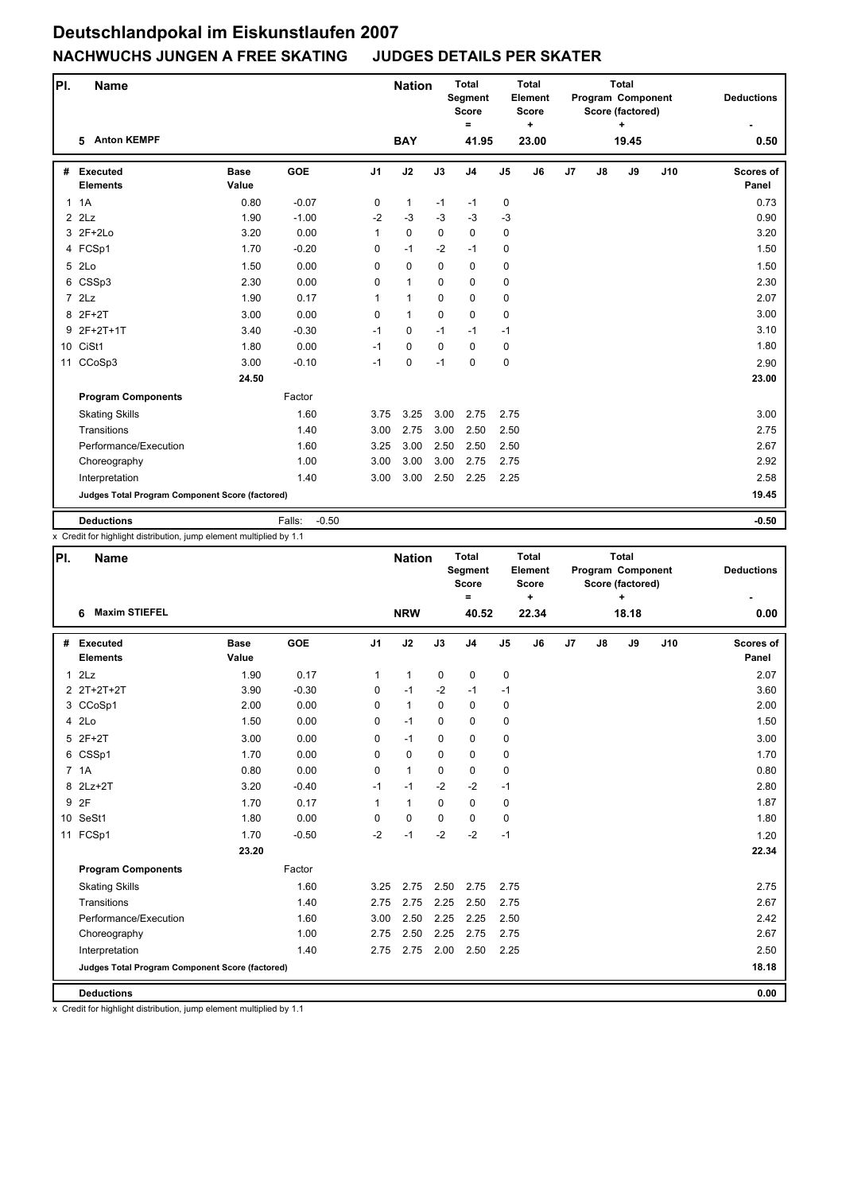| PI. | <b>Name</b>                                     |                      |                   |                | <b>Nation</b> |             | <b>Total</b><br>Segment<br><b>Score</b><br>$\equiv$ |                | <b>Total</b><br>Element<br><b>Score</b><br>٠ | <b>Total</b><br>Program Component<br>Score (factored)<br>÷ |               | <b>Deductions</b> |     |                           |
|-----|-------------------------------------------------|----------------------|-------------------|----------------|---------------|-------------|-----------------------------------------------------|----------------|----------------------------------------------|------------------------------------------------------------|---------------|-------------------|-----|---------------------------|
|     | <b>Anton KEMPF</b><br>5                         |                      |                   |                | <b>BAY</b>    |             | 41.95                                               |                | 23.00                                        |                                                            |               | 19.45             |     | 0.50                      |
|     | # Executed<br><b>Elements</b>                   | <b>Base</b><br>Value | <b>GOE</b>        | J <sub>1</sub> | J2            | J3          | J <sub>4</sub>                                      | J <sub>5</sub> | J6                                           | J7                                                         | $\mathsf{J}8$ | J9                | J10 | <b>Scores of</b><br>Panel |
|     | 1.1A                                            | 0.80                 | $-0.07$           | 0              | $\mathbf{1}$  | $-1$        | $-1$                                                | 0              |                                              |                                                            |               |                   |     | 0.73                      |
|     | $2$ $2$ Lz                                      | 1.90                 | $-1.00$           | $-2$           | $-3$          | $-3$        | $-3$                                                | $-3$           |                                              |                                                            |               |                   |     | 0.90                      |
|     | 3 2F+2Lo                                        | 3.20                 | 0.00              | 1              | $\pmb{0}$     | $\mathbf 0$ | 0                                                   | 0              |                                              |                                                            |               |                   |     | 3.20                      |
|     | 4 FCSp1                                         | 1.70                 | $-0.20$           | 0              | $-1$          | $-2$        | $-1$                                                | 0              |                                              |                                                            |               |                   |     | 1.50                      |
| 5   | 2Lo                                             | 1.50                 | 0.00              | 0              | $\mathbf 0$   | $\mathbf 0$ | 0                                                   | 0              |                                              |                                                            |               |                   |     | 1.50                      |
| 6   | CSSp3                                           | 2.30                 | 0.00              | 0              | $\mathbf{1}$  | $\mathbf 0$ | 0                                                   | 0              |                                              |                                                            |               |                   |     | 2.30                      |
|     | 72Lz                                            | 1.90                 | 0.17              | 1              | $\mathbf{1}$  | $\Omega$    | 0                                                   | 0              |                                              |                                                            |               |                   |     | 2.07                      |
|     | 8 2F+2T                                         | 3.00                 | 0.00              | $\Omega$       | $\mathbf{1}$  | $\Omega$    | 0                                                   | 0              |                                              |                                                            |               |                   |     | 3.00                      |
|     | 9 2F+2T+1T                                      | 3.40                 | $-0.30$           | $-1$           | 0             | $-1$        | $-1$                                                | $-1$           |                                              |                                                            |               |                   |     | 3.10                      |
|     | 10 CiSt1                                        | 1.80                 | 0.00              | $-1$           | 0             | $\mathbf 0$ | 0                                                   | 0              |                                              |                                                            |               |                   |     | 1.80                      |
| 11  | CCoSp3                                          | 3.00                 | $-0.10$           | $-1$           | 0             | $-1$        | 0                                                   | 0              |                                              |                                                            |               |                   |     | 2.90                      |
|     |                                                 | 24.50                |                   |                |               |             |                                                     |                |                                              |                                                            |               |                   |     | 23.00                     |
|     | <b>Program Components</b>                       |                      | Factor            |                |               |             |                                                     |                |                                              |                                                            |               |                   |     |                           |
|     | <b>Skating Skills</b>                           |                      | 1.60              | 3.75           | 3.25          | 3.00        | 2.75                                                | 2.75           |                                              |                                                            |               |                   |     | 3.00                      |
|     | Transitions                                     |                      | 1.40              | 3.00           | 2.75          | 3.00        | 2.50                                                | 2.50           |                                              |                                                            |               |                   |     | 2.75                      |
|     | Performance/Execution                           |                      | 1.60              | 3.25           | 3.00          | 2.50        | 2.50                                                | 2.50           |                                              |                                                            |               |                   |     | 2.67                      |
|     | Choreography                                    |                      | 1.00              | 3.00           | 3.00          | 3.00        | 2.75                                                | 2.75           |                                              |                                                            |               |                   |     | 2.92                      |
|     | Interpretation                                  |                      | 1.40              | 3.00           | 3.00          | 2.50        | 2.25                                                | 2.25           |                                              |                                                            |               |                   |     | 2.58                      |
|     | Judges Total Program Component Score (factored) |                      |                   |                |               |             |                                                     |                |                                              |                                                            |               |                   |     | 19.45                     |
|     | <b>Deductions</b>                               |                      | Falls:<br>$-0.50$ |                |               |             |                                                     |                |                                              |                                                            |               |                   |     | $-0.50$                   |

x Credit for highlight distribution, jump element multiplied by 1.1

| PI. | Name                                            |                      |         |                | <b>Nation</b> |             | <b>Total</b><br>Segment<br>Score<br>$=$ |                | <b>Total</b><br>Element<br>Score<br>÷ |    |    | <b>Total</b><br>Program Component<br>Score (factored)<br>٠ | <b>Deductions</b> |                           |
|-----|-------------------------------------------------|----------------------|---------|----------------|---------------|-------------|-----------------------------------------|----------------|---------------------------------------|----|----|------------------------------------------------------------|-------------------|---------------------------|
|     | <b>Maxim STIEFEL</b><br>6                       |                      |         |                | <b>NRW</b>    |             | 40.52                                   |                | 22.34                                 |    |    | 18.18                                                      |                   | 0.00                      |
| #   | <b>Executed</b><br><b>Elements</b>              | <b>Base</b><br>Value | GOE     | J <sub>1</sub> | J2            | J3          | J <sub>4</sub>                          | J <sub>5</sub> | J6                                    | J7 | J8 | J9                                                         | J10               | <b>Scores of</b><br>Panel |
|     | 12Lz                                            | 1.90                 | 0.17    | 1              | $\mathbf{1}$  | 0           | 0                                       | 0              |                                       |    |    |                                                            |                   | 2.07                      |
|     | 2 2T+2T+2T                                      | 3.90                 | $-0.30$ | 0              | $-1$          | $-2$        | $-1$                                    | $-1$           |                                       |    |    |                                                            |                   | 3.60                      |
|     | 3 CCoSp1                                        | 2.00                 | 0.00    | 0              | $\mathbf{1}$  | $\mathbf 0$ | 0                                       | 0              |                                       |    |    |                                                            |                   | 2.00                      |
|     | 4 2Lo                                           | 1.50                 | 0.00    | 0              | $-1$          | $\Omega$    | 0                                       | 0              |                                       |    |    |                                                            |                   | 1.50                      |
|     | 5 2F+2T                                         | 3.00                 | 0.00    | 0              | $-1$          | $\mathbf 0$ | 0                                       | 0              |                                       |    |    |                                                            |                   | 3.00                      |
|     | 6 CSSp1                                         | 1.70                 | 0.00    | $\Omega$       | $\mathbf 0$   | $\mathbf 0$ | 0                                       | 0              |                                       |    |    |                                                            |                   | 1.70                      |
|     | 7 1A                                            | 0.80                 | 0.00    | 0              | $\mathbf{1}$  | $\Omega$    | 0                                       | 0              |                                       |    |    |                                                            |                   | 0.80                      |
| 8   | $2Lz+2T$                                        | 3.20                 | $-0.40$ | $-1$           | $-1$          | $-2$        | $-2$                                    | $-1$           |                                       |    |    |                                                            |                   | 2.80                      |
|     | 9 2F                                            | 1.70                 | 0.17    | $\mathbf{1}$   | $\mathbf{1}$  | $\Omega$    | 0                                       | 0              |                                       |    |    |                                                            |                   | 1.87                      |
|     | 10 SeSt1                                        | 1.80                 | 0.00    | 0              | 0             | $\Omega$    | $\Omega$                                | $\mathbf 0$    |                                       |    |    |                                                            |                   | 1.80                      |
|     | 11 FCSp1                                        | 1.70                 | $-0.50$ | $-2$           | $-1$          | $-2$        | $-2$                                    | $-1$           |                                       |    |    |                                                            |                   | 1.20                      |
|     |                                                 | 23.20                |         |                |               |             |                                         |                |                                       |    |    |                                                            |                   | 22.34                     |
|     | <b>Program Components</b>                       |                      | Factor  |                |               |             |                                         |                |                                       |    |    |                                                            |                   |                           |
|     | <b>Skating Skills</b>                           |                      | 1.60    | 3.25           | 2.75          | 2.50        | 2.75                                    | 2.75           |                                       |    |    |                                                            |                   | 2.75                      |
|     | Transitions                                     |                      | 1.40    | 2.75           | 2.75          | 2.25        | 2.50                                    | 2.75           |                                       |    |    |                                                            |                   | 2.67                      |
|     | Performance/Execution                           |                      | 1.60    | 3.00           | 2.50          | 2.25        | 2.25                                    | 2.50           |                                       |    |    |                                                            |                   | 2.42                      |
|     | Choreography                                    |                      | 1.00    | 2.75           | 2.50          | 2.25        | 2.75                                    | 2.75           |                                       |    |    |                                                            |                   | 2.67                      |
|     | Interpretation                                  |                      | 1.40    | 2.75           | 2.75          | 2.00        | 2.50                                    | 2.25           |                                       |    |    |                                                            |                   | 2.50                      |
|     | Judges Total Program Component Score (factored) |                      |         |                |               |             |                                         |                |                                       |    |    |                                                            |                   | 18.18                     |
|     | <b>Deductions</b>                               |                      |         |                |               |             |                                         |                |                                       |    |    |                                                            |                   | 0.00                      |

x Credit for highlight distribution, jump element multiplied by 1.1